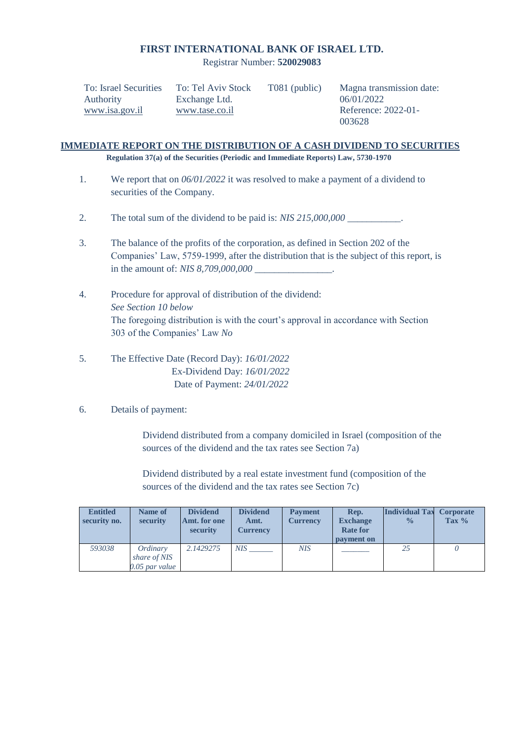### **FIRST INTERNATIONAL BANK OF ISRAEL LTD.**

Registrar Number: **520029083**

| To: Israel Securities | To: Tel Aviv Stock | T081 (public) | Magna transmission date: |
|-----------------------|--------------------|---------------|--------------------------|
| Authority             | Exchange Ltd.      |               | 06/01/2022               |
| www.isa.gov.il        | www.tase.co.il     |               | Reference: 2022-01-      |
|                       |                    |               | 003628                   |

### **IMMEDIATE REPORT ON THE DISTRIBUTION OF A CASH DIVIDEND TO SECURITIES Regulation 37(a) of the Securities (Periodic and Immediate Reports) Law, 5730-1970**

- 1. We report that on *06/01/2022* it was resolved to make a payment of a dividend to securities of the Company.
- 2. The total sum of the dividend to be paid is: *NIS 215,000,000 \_\_\_\_\_\_\_\_\_\_\_*.
- 3. The balance of the profits of the corporation, as defined in Section 202 of the Companies' Law, 5759-1999, after the distribution that is the subject of this report, is in the amount of: *NIS 8,709,000,000*
- 4. Procedure for approval of distribution of the dividend: *See Section 10 below* The foregoing distribution is with the court's approval in accordance with Section 303 of the Companies' Law *No*
- 5. The Effective Date (Record Day): *16/01/2022* Ex-Dividend Day: *16/01/2022* Date of Payment: *24/01/2022*

# 6. Details of payment:

Dividend distributed from a company domiciled in Israel (composition of the sources of the dividend and the tax rates see Section 7a)

Dividend distributed by a real estate investment fund (composition of the sources of the dividend and the tax rates see Section 7c)

| <b>Entitled</b> | Name of        | <b>Dividend</b> | <b>Dividend</b> | <b>Payment</b>  | Rep.            | <b>Individual Tax</b> | <b>Corporate</b> |
|-----------------|----------------|-----------------|-----------------|-----------------|-----------------|-----------------------|------------------|
| security no.    | security       | Amt. for one    | Amt.            | <b>Currency</b> | <b>Exchange</b> | $\frac{0}{0}$         | Tax $%$          |
|                 |                | security        | Currencv        |                 | <b>Rate for</b> |                       |                  |
|                 |                |                 |                 |                 | payment on      |                       |                  |
| 593038          | Ordinary       | 2.1429275       | <b>NIS</b>      | <b>NIS</b>      |                 | 25                    |                  |
|                 | share of NIS   |                 |                 |                 |                 |                       |                  |
|                 | 0.05 par value |                 |                 |                 |                 |                       |                  |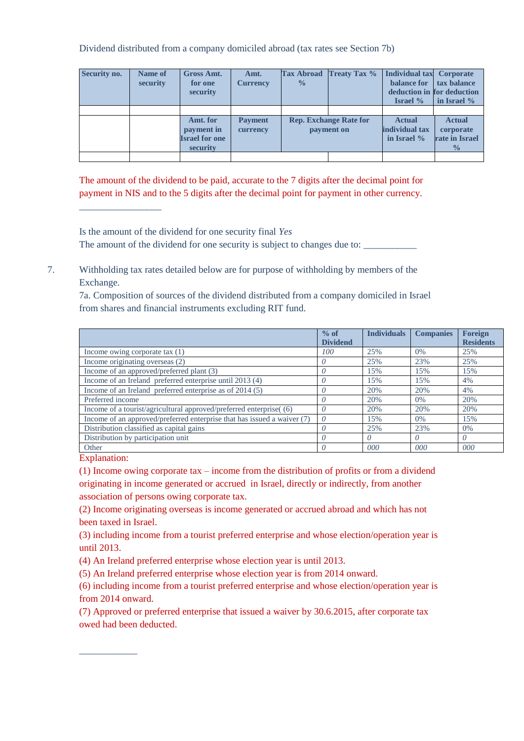Dividend distributed from a company domiciled abroad (tax rates see Section 7b)

| Security no. | Name of<br>security | <b>Gross Amt.</b><br>for one<br>security                    | Amt.<br><b>Currency</b>    | <b>Tax Abroad</b><br>$\frac{0}{0}$ | <b>Treaty Tax %</b>                         | <b>Individual tax Corporate</b><br>balance for<br>deduction in for deduction<br><b>Israel</b> % | tax balance<br>in Israel %                                           |
|--------------|---------------------|-------------------------------------------------------------|----------------------------|------------------------------------|---------------------------------------------|-------------------------------------------------------------------------------------------------|----------------------------------------------------------------------|
|              |                     |                                                             |                            |                                    |                                             |                                                                                                 |                                                                      |
|              |                     | Amt. for<br>payment in<br><b>Israel for one</b><br>security | <b>Payment</b><br>currency |                                    | <b>Rep. Exchange Rate for</b><br>payment on | <b>Actual</b><br>individual tax<br>in Israel %                                                  | <b>Actual</b><br>corporate<br><b>rate in Israel</b><br>$\frac{0}{0}$ |
|              |                     |                                                             |                            |                                    |                                             |                                                                                                 |                                                                      |

The amount of the dividend to be paid, accurate to the 7 digits after the decimal point for payment in NIS and to the 5 digits after the decimal point for payment in other currency.

Is the amount of the dividend for one security final *Yes* The amount of the dividend for one security is subject to changes due to:

7. Withholding tax rates detailed below are for purpose of withholding by members of the Exchange.

7a. Composition of sources of the dividend distributed from a company domiciled in Israel from shares and financial instruments excluding RIT fund.

|                                                                         | $%$ of          | <b>Individuals</b> | <b>Companies</b> | <b>Foreign</b>   |
|-------------------------------------------------------------------------|-----------------|--------------------|------------------|------------------|
|                                                                         | <b>Dividend</b> |                    |                  | <b>Residents</b> |
| Income owing corporate tax $(1)$                                        | 100             | 25%                | 0%               | 25%              |
| Income originating overseas (2)                                         | 0               | 25%                | 23%              | 25%              |
| Income of an approved/preferred plant (3)                               |                 | 15%                | 15%              | 15%              |
| Income of an Ireland preferred enterprise until 2013 (4)                |                 | 15%                | 15%              | 4%               |
| Income of an Ireland preferred enterprise as of 2014 (5)                |                 | 20%                | 20%              | 4%               |
| Preferred income                                                        |                 | 20%                | 0%               | 20%              |
| Income of a tourist/agricultural approved/preferred enterprise( (6)     |                 | 20%                | 20%              | 20%              |
| Income of an approved/preferred enterprise that has issued a waiver (7) | $\theta$        | 15%                | 0%               | 15%              |
| Distribution classified as capital gains                                |                 | 25%                | 23%              | $0\%$            |
| Distribution by participation unit                                      |                 |                    | 0                |                  |
| Other                                                                   |                 | 000                | 000              | 000              |

Explanation:

\_\_\_\_\_\_\_\_\_\_\_\_

\_\_\_\_\_\_\_\_\_\_\_\_\_\_\_\_\_

(1) Income owing corporate tax – income from the distribution of profits or from a dividend originating in income generated or accrued in Israel, directly or indirectly, from another association of persons owing corporate tax.

(2) Income originating overseas is income generated or accrued abroad and which has not been taxed in Israel.

(3) including income from a tourist preferred enterprise and whose election/operation year is until 2013.

(4) An Ireland preferred enterprise whose election year is until 2013.

(5) An Ireland preferred enterprise whose election year is from 2014 onward.

(6) including income from a tourist preferred enterprise and whose election/operation year is from 2014 onward.

(7) Approved or preferred enterprise that issued a waiver by 30.6.2015, after corporate tax owed had been deducted.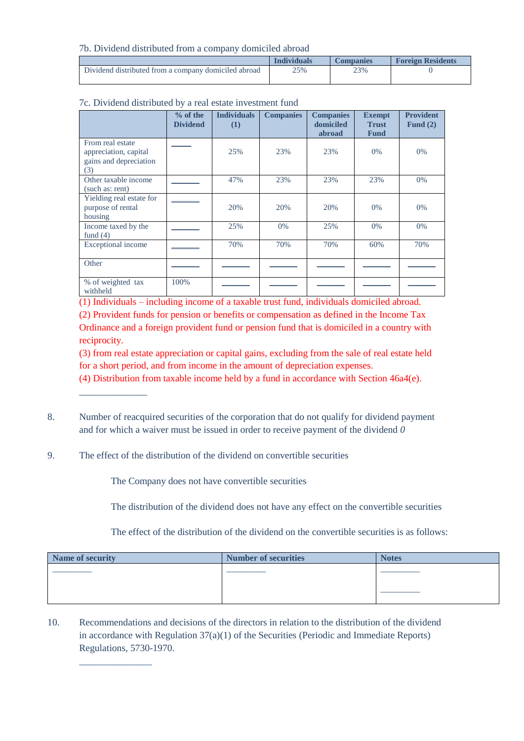7b. Dividend distributed from a company domiciled abroad

|                                                      | <b>Individuals</b> | Companies | <b>Foreign Residents</b> |
|------------------------------------------------------|--------------------|-----------|--------------------------|
| Dividend distributed from a company domiciled abroad | 25%                | 23%       |                          |

|                                                                            | $%$ of the<br><b>Dividend</b> | <b>Individuals</b><br>(1) | <b>Companies</b> | <b>Companies</b><br>domiciled<br>abroad | <b>Exempt</b><br><b>Trust</b><br><b>Fund</b> | <b>Provident</b><br>Fund $(2)$ |
|----------------------------------------------------------------------------|-------------------------------|---------------------------|------------------|-----------------------------------------|----------------------------------------------|--------------------------------|
| From real estate<br>appreciation, capital<br>gains and depreciation<br>(3) |                               | 25%                       | 23%              | 23%                                     | $0\%$                                        | $0\%$                          |
| Other taxable income<br>(such as: rent)                                    |                               | 47%                       | 23%              | 23%                                     | 23%                                          | $0\%$                          |
| Yielding real estate for<br>purpose of rental<br>housing                   |                               | 20%                       | 20%              | 20%                                     | $0\%$                                        | $0\%$                          |
| Income taxed by the<br>fund $(4)$                                          |                               | 25%                       | 0%               | 25%                                     | 0%                                           | $0\%$                          |
| Exceptional income                                                         |                               | 70%                       | 70%              | 70%                                     | 60%                                          | 70%                            |
| Other                                                                      |                               |                           |                  |                                         |                                              |                                |
| % of weighted tax<br>withheld                                              | 100%                          |                           |                  |                                         |                                              |                                |

### 7c. Dividend distributed by a real estate investment fund

(1) Individuals – including income of a taxable trust fund, individuals domiciled abroad.

(2) Provident funds for pension or benefits or compensation as defined in the Income Tax Ordinance and a foreign provident fund or pension fund that is domiciled in a country with reciprocity.

(3) from real estate appreciation or capital gains, excluding from the sale of real estate held

for a short period, and from income in the amount of depreciation expenses.

(4) Distribution from taxable income held by a fund in accordance with Section 46a4(e).

- 8. Number of reacquired securities of the corporation that do not qualify for dividend payment and for which a waiver must be issued in order to receive payment of the dividend *0*
- 9. The effect of the distribution of the dividend on convertible securities

\_\_\_\_\_\_\_\_\_\_\_\_\_\_

\_\_\_\_\_\_\_\_\_\_\_\_\_\_\_

The Company does not have convertible securities

The distribution of the dividend does not have any effect on the convertible securities

The effect of the distribution of the dividend on the convertible securities is as follows:

| Name of security | <b>Number of securities</b> | <b>Notes</b> |
|------------------|-----------------------------|--------------|
|                  |                             |              |
|                  |                             |              |
|                  |                             |              |
|                  |                             |              |

10. Recommendations and decisions of the directors in relation to the distribution of the dividend in accordance with Regulation 37(a)(1) of the Securities (Periodic and Immediate Reports) Regulations, 5730-1970.